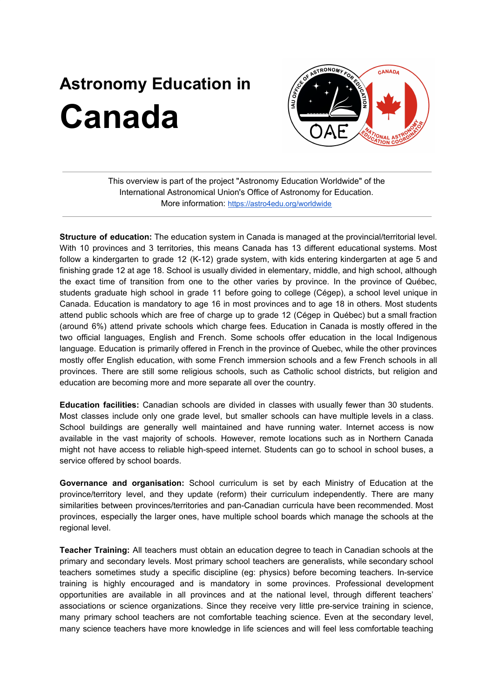## **Astronomy Education in Canada**



This overview is part of the project "Astronomy Education Worldwide" of the International Astronomical Union's Office of Astronomy for Education. More information: <https://astro4edu.org/worldwide>

**Structure of education:** The education system in Canada is managed at the provincial/territorial level. With 10 provinces and 3 territories, this means Canada has 13 different educational systems. Most follow a kindergarten to grade 12 (K-12) grade system, with kids entering kindergarten at age 5 and finishing grade 12 at age 18. School is usually divided in elementary, middle, and high school, although the exact time of transition from one to the other varies by province. In the province of Québec, students graduate high school in grade 11 before going to college (Cégep), a school level unique in Canada. Education is mandatory to age 16 in most provinces and to age 18 in others. Most students attend public schools which are free of charge up to grade 12 (Cégep in Québec) but a small fraction (around 6%) attend private schools which charge fees. Education in Canada is mostly offered in the two official languages, English and French. Some schools offer education in the local Indigenous language. Education is primarily offered in French in the province of Quebec, while the other provinces mostly offer English education, with some French immersion schools and a few French schools in all provinces. There are still some religious schools, such as Catholic school districts, but religion and education are becoming more and more separate all over the country.

**Education facilities:** Canadian schools are divided in classes with usually fewer than 30 students. Most classes include only one grade level, but smaller schools can have multiple levels in a class. School buildings are generally well maintained and have running water. Internet access is now available in the vast majority of schools. However, remote locations such as in Northern Canada might not have access to reliable high-speed internet. Students can go to school in school buses, a service offered by school boards.

**Governance and organisation:** School curriculum is set by each Ministry of Education at the province/territory level, and they update (reform) their curriculum independently. There are many similarities between provinces/territories and pan-Canadian curricula have been recommended. Most provinces, especially the larger ones, have multiple school boards which manage the schools at the regional level.

**Teacher Training:** All teachers must obtain an education degree to teach in Canadian schools at the primary and secondary levels. Most primary school teachers are generalists, while secondary school teachers sometimes study a specific discipline (eg: physics) before becoming teachers. In-service training is highly encouraged and is mandatory in some provinces. Professional development opportunities are available in all provinces and at the national level, through different teachers' associations or science organizations. Since they receive very little pre-service training in science, many primary school teachers are not comfortable teaching science. Even at the secondary level, many science teachers have more knowledge in life sciences and will feel less comfortable teaching